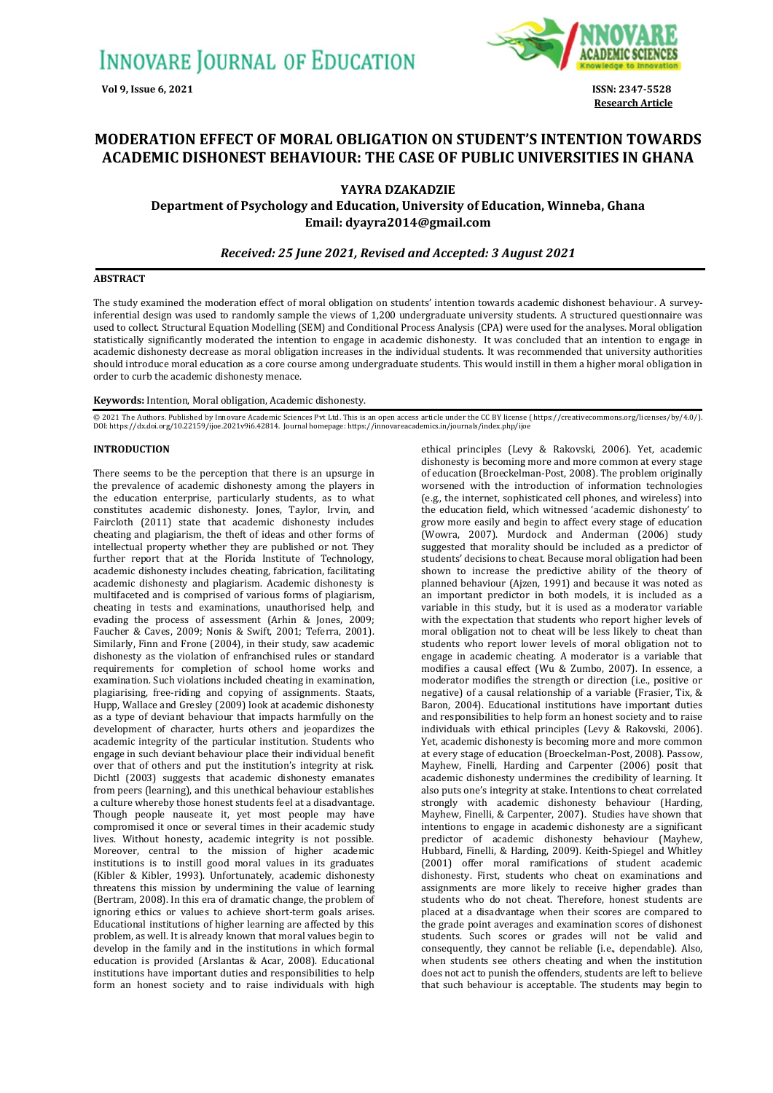

**Research Article**

# **MODERATION EFFECT OF MORAL OBLIGATION ON STUDENT'S INTENTION TOWARDS ACADEMIC DISHONEST BEHAVIOUR: THE CASE OF PUBLIC UNIVERSITIES IN GHANA**

## **YAYRA DZAKADZIE**

**Department of Psychology and Education, University of Education, Winneba, Ghana Email: [dyayra2014@gmail.com](mailto:dyayra2014@gmail.com)**

## *Received: 25 June 2021, Revised and Accepted: 3 August 2021*

## **ABSTRACT**

The study examined the moderation effect of moral obligation on students' intention towards academic dishonest behaviour. A surveyinferential design was used to randomly sample the views of 1,200 undergraduate university students. A structured questionnaire was used to collect. Structural Equation Modelling (SEM) and Conditional Process Analysis (CPA) were used for the analyses. Moral obligation statistically significantly moderated the intention to engage in academic dishonesty. It was concluded that an intention to engage in academic dishonesty decrease as moral obligation increases in the individual students. It was recommended that university authorities should introduce moral education as a core course among undergraduate students. This would instill in them a higher moral obligation in order to curb the academic dishonesty menace.

#### **Keywords:** Intention, Moral obligation, Academic dishonesty.

© 2021 The Authors. Published by Innovare Academic Sciences Pvt Ltd. This is an open access article under the CC BY license [\(https://creativecommons.org/licenses/by/4.0/\)](https://creativecommons.org/licenses/by/4.0/). DOI[: https://dx.doi.org/10.22159/ijoe.2021v9i6.42](https://dx.doi.org/10.22159/ijoe.2021v9i6.4)814. Journal homepage[: https://innovareacademics.in/journals/index.php/ijoe](https://innovareacademics.in/journals/index.php/ijoe)

## **INTRODUCTION**

There seems to be the perception that there is an upsurge in the prevalence of academic dishonesty among the players in the education enterprise, particularly students, as to what constitutes academic dishonesty. Jones, Taylor, Irvin, and Faircloth (2011) state that academic dishonesty includes cheating and plagiarism, the theft of ideas and other forms of intellectual property whether they are published or not. They further report that at the Florida Institute of Technology, academic dishonesty includes cheating, fabrication, facilitating academic dishonesty and plagiarism. Academic dishonesty is multifaceted and is comprised of various forms of plagiarism, cheating in tests and examinations, unauthorised help, and evading the process of assessment (Arhin & Jones, 2009; Faucher & Caves, 2009; Nonis & Swift, 2001; Teferra, 2001). Similarly, Finn and Frone (2004), in their study, saw academic dishonesty as the violation of enfranchised rules or standard requirements for completion of school home works and examination. Such violations included cheating in examination, plagiarising, free-riding and copying of assignments. Staats, Hupp, Wallace and Gresley (2009) look at academic dishonesty as a type of deviant behaviour that impacts harmfully on the development of character, hurts others and jeopardizes the academic integrity of the particular institution. Students who engage in such deviant behaviour place their individual benefit over that of others and put the institution's integrity at risk. Dichtl (2003) suggests that academic dishonesty emanates from peers (learning), and this unethical behaviour establishes a culture whereby those honest students feel at a disadvantage. Though people nauseate it, yet most people may have compromised it once or several times in their academic study lives. Without honesty, academic integrity is not possible. Moreover, central to the mission of higher academic institutions is to instill good moral values in its graduates (Kibler & Kibler, 1993). Unfortunately, academic dishonesty threatens this mission by undermining the value of learning (Bertram, 2008). In this era of dramatic change, the problem of ignoring ethics or values to achieve short-term goals arises. Educational institutions of higher learning are affected by this problem, as well. It is already known that moral values begin to develop in the family and in the institutions in which formal education is provided (Arslantas & Acar, 2008). Educational institutions have important duties and responsibilities to help form an honest society and to raise individuals with high

ethical principles (Levy & Rakovski, 2006). Yet, academic dishonesty is becoming more and more common at every stage of education (Broeckelman-Post, 2008). The problem originally worsened with the introduction of information technologies (e.g., the internet, sophisticated cell phones, and wireless) into the education field, which witnessed 'academic dishonesty' to grow more easily and begin to affect every stage of education (Wowra, 2007). Murdock and Anderman (2006) study suggested that morality should be included as a predictor of students' decisions to cheat. Because moral obligation had been shown to increase the predictive ability of the theory of planned behaviour (Ajzen, 1991) and because it was noted as an important predictor in both models, it is included as a variable in this study, but it is used as a moderator variable with the expectation that students who report higher levels of moral obligation not to cheat will be less likely to cheat than students who report lower levels of moral obligation not to engage in academic cheating. A moderator is a variable that modifies a causal effect (Wu & Zumbo, 2007). In essence, a moderator modifies the strength or direction (i.e., positive or negative) of a causal relationship of a variable (Frasier, Tix, & Baron, 2004). Educational institutions have important duties and responsibilities to help form an honest society and to raise individuals with ethical principles (Levy & Rakovski, 2006). Yet, academic dishonesty is becoming more and more common at every stage of education (Broeckelman-Post, 2008). Passow, Mayhew, Finelli, Harding and Carpenter (2006) posit that academic dishonesty undermines the credibility of learning. It also puts one's integrity at stake. Intentions to cheat correlated strongly with academic dishonesty behaviour (Harding, Mayhew, Finelli, & Carpenter, 2007). Studies have shown that intentions to engage in academic dishonesty are a significant predictor of academic dishonesty behaviour (Mayhew, Hubbard, Finelli, & Harding, 2009). Keith-Spiegel and Whitley (2001) offer moral ramifications of student academic dishonesty. First, students who cheat on examinations and assignments are more likely to receive higher grades than students who do not cheat. Therefore, honest students are placed at a disadvantage when their scores are compared to the grade point averages and examination scores of dishonest students. Such scores or grades will not be valid and consequently, they cannot be reliable (i.e., dependable). Also, when students see others cheating and when the institution does not act to punish the offenders, students are left to believe that such behaviour is acceptable. The students may begin to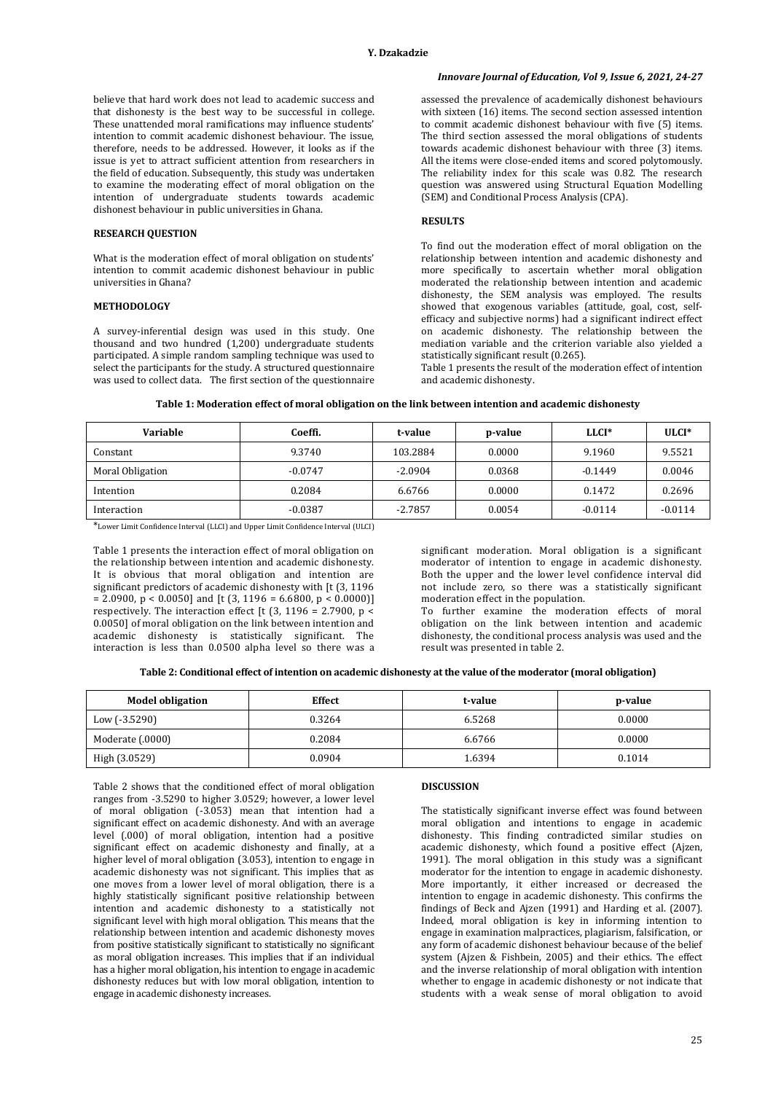believe that hard work does not lead to academic success and that dishonesty is the best way to be successful in college. These unattended moral ramifications may influence students' intention to commit academic dishonest behaviour. The issue, therefore, needs to be addressed. However, it looks as if the issue is yet to attract sufficient attention from researchers in the field of education. Subsequently, this study was undertaken to examine the moderating effect of moral obligation on the intention of undergraduate students towards academic dishonest behaviour in public universities in Ghana.

## **RESEARCH QUESTION**

What is the moderation effect of moral obligation on students' intention to commit academic dishonest behaviour in public universities in Ghana?

## **METHODOLOGY**

A survey-inferential design was used in this study. One thousand and two hundred (1,200) undergraduate students participated. A simple random sampling technique was used to select the participants for the study. A structured questionnaire was used to collect data. The first section of the questionnaire

## *Innovare Journal of Education, Vol 9, Issue 6, 2021, 24-27*

assessed the prevalence of academically dishonest behaviours with sixteen (16) items. The second section assessed intention to commit academic dishonest behaviour with five (5) items. The third section assessed the moral obligations of students towards academic dishonest behaviour with three (3) items. All the items were close-ended items and scored polytomously. The reliability index for this scale was 0.82. The research question was answered using Structural Equation Modelling (SEM) and Conditional Process Analysis (CPA).

## **RESULTS**

To find out the moderation effect of moral obligation on the relationship between intention and academic dishonesty and more specifically to ascertain whether moral obligation moderated the relationship between intention and academic dishonesty, the SEM analysis was employed. The results showed that exogenous variables (attitude, goal, cost, selfefficacy and subjective norms) had a significant indirect effect on academic dishonesty. The relationship between the mediation variable and the criterion variable also yielded a statistically significant result (0.265).

Table 1 presents the result of the moderation effect of intention and academic dishonesty.

## **Table 1: Moderation effect of moral obligation on the link between intention and academic dishonesty**

| Variable         | Coeffi.   | t-value   | p-value | $LLCI*$   | $ULCI*$   |
|------------------|-----------|-----------|---------|-----------|-----------|
| Constant         | 9.3740    | 103.2884  | 0.0000  | 9.1960    | 9.5521    |
| Moral Obligation | $-0.0747$ | $-2.0904$ | 0.0368  | $-0.1449$ | 0.0046    |
| Intention        | 0.2084    | 6.6766    | 0.0000  | 0.1472    | 0.2696    |
| Interaction      | $-0.0387$ | $-2.7857$ | 0.0054  | $-0.0114$ | $-0.0114$ |

\*Lower Limit Confidence Interval (LLCI) and Upper Limit Confidence Interval (ULCI)

Table 1 presents the interaction effect of moral obligation on the relationship between intention and academic dishonesty. It is obvious that moral obligation and intention are significant predictors of academic dishonesty with [t (3, 1196  $= 2.0900$ ,  $p < 0.0050$ ] and [t (3, 1196 = 6.6800,  $p < 0.0000$ ]] respectively. The interaction effect [t (3, 1196 = 2.7900, p < 0.0050] of moral obligation on the link between intention and academic dishonesty is statistically significant. The interaction is less than 0.0500 alpha level so there was a significant moderation. Moral obligation is a significant moderator of intention to engage in academic dishonesty. Both the upper and the lower level confidence interval did not include zero, so there was a statistically significant moderation effect in the population.

To further examine the moderation effects of moral obligation on the link between intention and academic dishonesty, the conditional process analysis was used and the result was presented in table 2.

| Table 2: Conditional effect of intention on academic dishonesty at the value of the moderator (moral obligation) |
|------------------------------------------------------------------------------------------------------------------|
|------------------------------------------------------------------------------------------------------------------|

| <b>Model obligation</b> | Effect | t-value | p-value |
|-------------------------|--------|---------|---------|
| Low (-3.5290)           | 0.3264 | 6.5268  | 0.0000  |
| Moderate (.0000)        | 0.2084 | 6.6766  | 0.0000  |
| High (3.0529)           | 0.0904 | 1.6394  | 0.1014  |

Table 2 shows that the conditioned effect of moral obligation ranges from -3.5290 to higher 3.0529; however, a lower level of moral obligation (-3.053) mean that intention had a significant effect on academic dishonesty. And with an average level (.000) of moral obligation, intention had a positive significant effect on academic dishonesty and finally, at a higher level of moral obligation (3.053), intention to engage in academic dishonesty was not significant. This implies that as one moves from a lower level of moral obligation, there is a highly statistically significant positive relationship between intention and academic dishonesty to a statistically not significant level with high moral obligation. This means that the relationship between intention and academic dishonesty moves from positive statistically significant to statistically no significant as moral obligation increases. This implies that if an individual has a higher moral obligation, his intention to engage in academic dishonesty reduces but with low moral obligation, intention to engage in academic dishonesty increases.

#### **DISCUSSION**

The statistically significant inverse effect was found between moral obligation and intentions to engage in academic dishonesty. This finding contradicted similar studies on academic dishonesty, which found a positive effect (Ajzen, 1991). The moral obligation in this study was a significant moderator for the intention to engage in academic dishonesty. More importantly, it either increased or decreased the intention to engage in academic dishonesty. This confirms the findings of Beck and Ajzen (1991) and Harding et al. (2007). Indeed, moral obligation is key in informing intention to engage in examination malpractices, plagiarism, falsification, or any form of academic dishonest behaviour because of the belief system (Ajzen & Fishbein, 2005) and their ethics. The effect and the inverse relationship of moral obligation with intention whether to engage in academic dishonesty or not indicate that students with a weak sense of moral obligation to avoid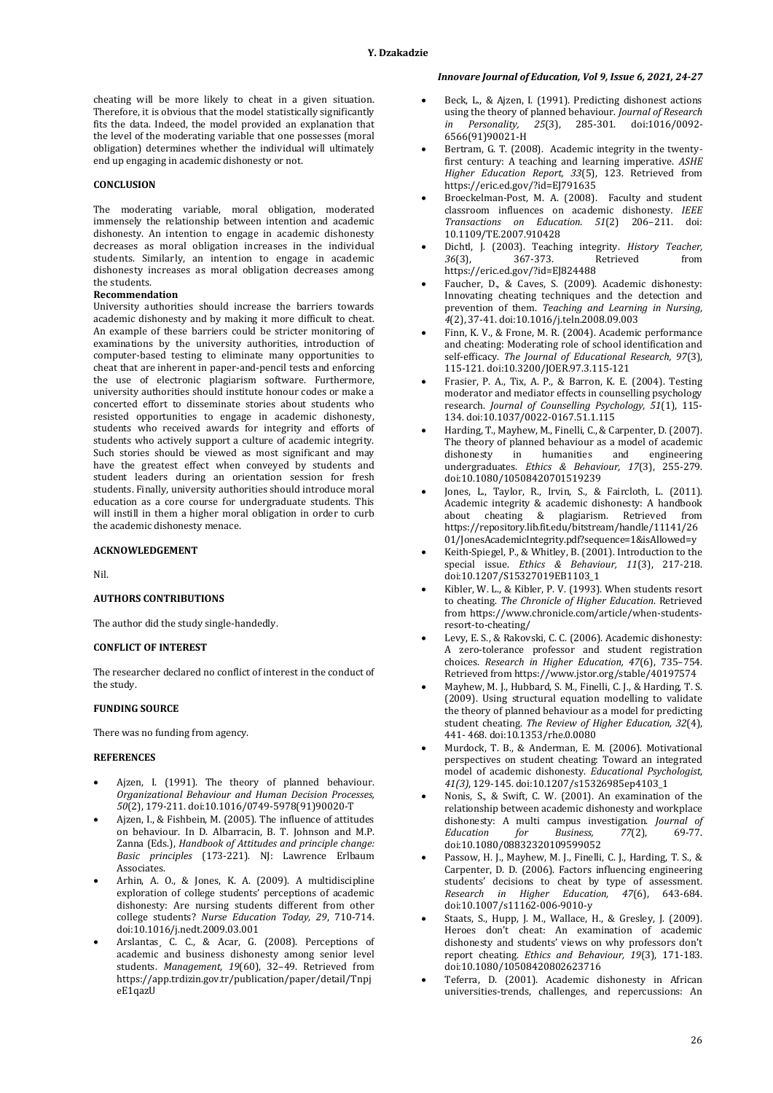cheating will be more likely to cheat in a given situation. Therefore, it is obvious that the model statistically significantly fits the data. Indeed, the model provided an explanation that the level of the moderating variable that one possesses (moral obligation) determines whether the individual will ultimately end up engaging in academic dishonesty or not.

### **CONCLUSION**

The moderating variable, moral obligation, moderated immensely the relationship between intention and academic dishonesty. An intention to engage in academic dishonesty decreases as moral obligation increases in the individual students. Similarly, an intention to engage in academic dishonesty increases as moral obligation decreases among the students.

#### **Recommendation**

University authorities should increase the barriers towards academic dishonesty and by making it more difficult to cheat. An example of these barriers could be stricter monitoring of examinations by the university authorities, introduction of computer-based testing to eliminate many opportunities to cheat that are inherent in paper-and-pencil tests and enforcing the use of electronic plagiarism software. Furthermore, university authorities should institute honour codes or make a concerted effort to disseminate stories about students who resisted opportunities to engage in academic dishonesty, students who received awards for integrity and efforts of students who actively support a culture of academic integrity. Such stories should be viewed as most significant and may have the greatest effect when conveyed by students and student leaders during an orientation session for fresh students. Finally, university authorities should introduce moral education as a core course for undergraduate students. This will instill in them a higher moral obligation in order to curb the academic dishonesty menace.

### **ACKNOWLEDGEMENT**

Nil.

#### **AUTHORS CONTRIBUTIONS**

The author did the study single-handedly.

### **CONFLICT OF INTEREST**

The researcher declared no conflict of interest in the conduct of the study.

## **FUNDING SOURCE**

There was no funding from agency.

## **REFERENCES**

- Ajzen, I. (1991). The theory of planned behaviour. *Organizational Behaviour and Human Decision Processes, 50*(2), 179-211[. doi:10.1016/0749-5978\(91\)90020-T](https://www.sciencedirect.com/science/article/abs/pii/074959789190020T)
- Ajzen, I., & Fishbein, M. (2005). The influence of attitudes on behaviour. In D. Albarracin, B. T. Johnson and M.P. Zanna (Eds.), *Handbook of Attitudes and principle change: Basic principles* (173-221)*.* NJ: Lawrence Erlbaum Associates.
- Arhin, A. O., & Jones, K. A. (2009). A multidiscipline exploration of college students' perceptions of academic dishonesty: Are nursing students different from other college students? *Nurse Education Today, 29*, 710-714. [doi:10.1016/j.nedt.2009.03.001](https://pubmed.ncbi.nlm.nih.gov/19342132/)
- Arslantas, C. C., & Acar, G. (2008). Perceptions of academic and business dishonesty among senior level students. *Management, 19*(60), 32–49. Retrieved from [https://app.trdizin.gov.tr/publication/paper/detail/Tnpj](https://app.trdizin.gov.tr/publication/paper/detail/TnpjeE1qazU) [eE1qazU](https://app.trdizin.gov.tr/publication/paper/detail/TnpjeE1qazU)

## *Innovare Journal of Education, Vol 9, Issue 6, 2021, 24-27*

- Beck, L., & Ajzen, I. (1991). Predicting dishonest actions using the theory of planned behaviour. *Journal of Research in Personality, 25*(3), 285-301. [doi:1016/0092-](https://www.sciencedirect.com/science/article/abs/pii/009265669190021H) [6566\(91\)90021-H](https://www.sciencedirect.com/science/article/abs/pii/009265669190021H)
- Bertram, G. T. (2008). Academic integrity in the twentyfirst century: A teaching and learning imperative. *ASHE Higher Education Report, 33*(5), 123. Retrieved from <https://eric.ed.gov/?id=EJ791635>
- Broeckelman-Post, M. A. (2008). Faculty and student classroom influences on academic dishonesty*. IEEE Transactions on Education. 51*(2) 206–211. [doi:](https://ieeexplore.ieee.org/document/4472093)  [10.1109/TE.2007.910428](https://ieeexplore.ieee.org/document/4472093)
- Dichtl, J. (2003). Teaching integrity. *History Teacher, 36*(3), 367-373. Retrieved from <https://eric.ed.gov/?id=EJ824488>
- Faucher, D., & Caves, S. (2009). Academic dishonesty: Innovating cheating techniques and the detection and prevention of them. *Teaching and Learning in Nursing*, *4*(2), 37-41. [doi:10.1016/j.teln.2008.09.003](https://www.sciencedirect.com/science/article/abs/pii/S1557308708000826)
- Finn, K. V., & Frone, M. R. (2004). Academic performance and cheating: Moderating role of school identification and self-efficacy. *The Journal of Educational Research, 97*(3), 115-121. [doi:10.3200/JOER.97.3.115-121](https://doi.org/10.3200/JOER.97.3.115-121)
- Frasier, P. A., Tix, A. P., & Barron, K. E. (2004). Testing moderator and mediator effects in counselling psychology research. *Journal of Counselling Psychology, 51*(1), 115- 134[. doi:10.1037/0022-0167.51.1.115](https://www.researchgate.net/publication/200008802_Testing_Moderator_and_Mediator_Effects_in_Counseling_Psychology_Research)
- Harding, T., Mayhew, M., Finelli, C., & Carpenter, D. (2007). The theory of planned behaviour as a model of academic<br>dishonesty in humanities and engineering dishonesty in humanities and engineering undergraduates. *Ethics & Behaviour, 17*(3), 255-279. [doi:10.1080/10508420701519239](https://www.tandfonline.com/doi/abs/10.1080/10508420701519239?journalCode=hebh20)
- Jones, L., Taylor, R., Irvin, S., & Faircloth, L. (2011). Academic integrity & academic dishonesty: A handbook about cheating & plagiarism. Retrieved from [https://repository.lib.fit.edu/bitstream/handle/11141/26](https://repository.lib.fit.edu/bitstream/handle/11141/2601/JonesAcademicIntegrity.pdf?sequence=1&isAllowed=y) [01/JonesAcademicIntegrity.pdf?sequence=1&isAllowed=y](https://repository.lib.fit.edu/bitstream/handle/11141/2601/JonesAcademicIntegrity.pdf?sequence=1&isAllowed=y)
- Keith-Spiegel, P., & Whitley, B. (2001). Introduction to the special issue. *Ethics & Behaviour, 11*(3), 217-218. [doi:10.1207/S15327019EB1103\\_1](https://www.tandfonline.com/doi/abs/10.1207/S15327019EB1103_1)
- Kibler, W. L., & Kibler, P. V. (1993). When students resort to cheating. *The Chronicle of Higher Education*. Retrieved from [https://www.chronicle.com/article/when-students](https://www.chronicle.com/article/when-students-resort-to-cheating/)[resort-to-cheating/](https://www.chronicle.com/article/when-students-resort-to-cheating/)
- Levy, E. S., & Rakovski, C. C. (2006). Academic dishonesty: A zero-tolerance professor and student registration choices. *Research in Higher Education, 47*(6), 735–754. Retrieved fro[m https://www.jstor.org/stable/40197574](https://www.jstor.org/stable/40197574)
- Mayhew, M. J., Hubbard, S. M., Finelli, C. J., & Harding, T. S. (2009). Using structural equation modelling to validate the theory of planned behaviour as a model for predicting student cheating. *The Review of Higher Education, 32*(4), 441- 468. [doi:10.1353/rhe.0.0080](https://deepblue.lib.umich.edu/bitstream/handle/2027.42/86093/E3_Mayhew_et_al_2009.pdf?sequence=1&isAllowed=y)
- Murdock, T. B., & Anderman, E. M. (2006). Motivational perspectives on student cheating: Toward an integrated model of academic dishonesty. *Educational Psychologist, 41(3)*, 129-145[. doi:10.1207/s15326985ep4103\\_1](https://www.tandfonline.com/doi/abs/10.1207/s15326985ep4103_1)
- Nonis, S., & Swift, C. W. (2001). An examination of the relationship between academic dishonesty and workplace dishonesty: A multi campus investigation. *Journal of Education for Business, 77*(2), 69-77. [doi:10.1080/08832320109599052](https://www.tandfonline.com/doi/abs/10.1080/08832320109599052)
- Passow, H. J., Mayhew, M. J., Finelli, C. J., Harding, T. S., & Carpenter, D. D. (2006). Factors influencing engineering students' decisions to cheat by type of assessment*. Research in Higher Education, 47*(6), 643-684. [doi:10.1007/s11162-006-9010-y](https://link.springer.com/article/10.1007/s11162-006-9010-y#citeas)
- Staats, S., Hupp, J. M., Wallace, H., & Gresley, J. (2009). Heroes don't cheat: An examination of academic dishonesty and students' views on why professors don't report cheating. *Ethics and Behaviour, 19*(3), 171-183. [doi:10.1080/10508420802623716](https://www.tandfonline.com/doi/abs/10.1080/10508420802623716)
- Teferra, D. (2001). Academic dishonesty in African universities-trends, challenges, and repercussions: An